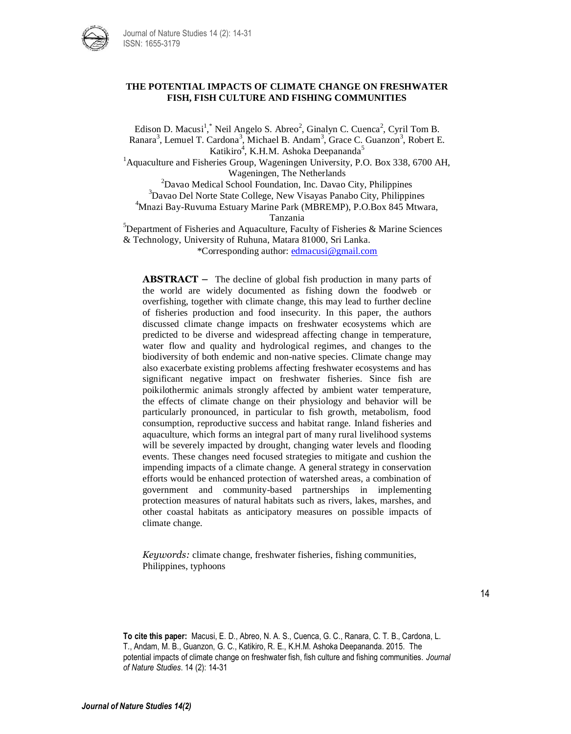

## **THE POTENTIAL IMPACTS OF CLIMATE CHANGE ON FRESHWATER FISH, FISH CULTURE AND FISHING COMMUNITIES**

Edison D. Macusi<sup>1</sup>,<sup>\*</sup> Neil Angelo S. Abreo<sup>2</sup>, Ginalyn C. Cuenca<sup>2</sup>, Cyril Tom B. Ranara<sup>3</sup>, Lemuel T. Cardona<sup>3</sup>, Michael B. Andam<sup>3</sup>, Grace C. Guanzon<sup>3</sup>, Robert E. Katikiro<sup>4</sup>, K.H.M. Ashoka Deepananda<sup>5</sup> <sup>1</sup> Aquaculture and Fisheries Group, Wageningen University, P.O. Box 338, 6700 AH, Wageningen, The Netherlands <sup>2</sup>Davao Medical School Foundation, Inc. Davao City, Philippines <sup>3</sup>Davao Del Norte State College, New Visayas Panabo City, Philippines <sup>4</sup>Mnazi Bay-Ruvuma Estuary Marine Park (MBREMP), P.O.Box 845 Mtwara, Tanzania  $5$ Department of Fisheries and Aquaculture, Faculty of Fisheries & Marine Sciences

& Technology, University of Ruhuna, Matara 81000, Sri Lanka. \*Corresponding author: [edmacusi@gmail.com](mailto:edmacusi@gmail.com)

**ABSTRACT –** The decline of global fish production in many parts of the world are widely documented as fishing down the foodweb or overfishing, together with climate change, this may lead to further decline of fisheries production and food insecurity. In this paper, the authors discussed climate change impacts on freshwater ecosystems which are predicted to be diverse and widespread affecting change in temperature, water flow and quality and hydrological regimes, and changes to the biodiversity of both endemic and non-native species. Climate change may also exacerbate existing problems affecting freshwater ecosystems and has significant negative impact on freshwater fisheries. Since fish are poikilothermic animals strongly affected by ambient water temperature, the effects of climate change on their physiology and behavior will be particularly pronounced, in particular to fish growth, metabolism, food consumption, reproductive success and habitat range. Inland fisheries and aquaculture, which forms an integral part of many rural livelihood systems will be severely impacted by drought, changing water levels and flooding events. These changes need focused strategies to mitigate and cushion the impending impacts of a climate change. A general strategy in conservation efforts would be enhanced protection of watershed areas, a combination of government and community-based partnerships in implementing protection measures of natural habitats such as rivers, lakes, marshes, and other coastal habitats as anticipatory measures on possible impacts of climate change.

*Keywords:* climate change, freshwater fisheries, fishing communities, Philippines, typhoons

**To cite this paper:** Macusi, E. D., Abreo, N. A. S., Cuenca, G. C., Ranara, C. T. B., Cardona, L. T., Andam, M. B., Guanzon, G. C., Katikiro, R. E., K.H.M. Ashoka Deepananda. 2015. The potential impacts of climate change on freshwater fish, fish culture and fishing communities. *Journal of Nature Studies*. 14 (2): 14-31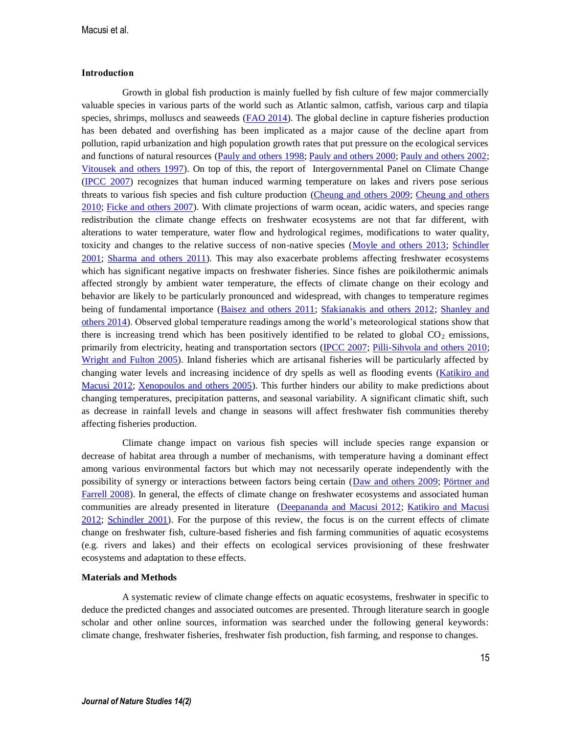#### **Introduction**

Growth in global fish production is mainly fuelled by fish culture of few major commercially valuable species in various parts of the world such as Atlantic salmon, catfish, various carp and tilapia species, shrimps, molluscs and seaweeds [\(FAO 2014\)](#page--1-0). The global decline in capture fisheries production has been debated and overfishing has been implicated as a major cause of the decline apart from pollution, rapid urbanization and high population growth rates that put pressure on the ecological services and functions of natural resources [\(Pauly and others 1998;](#page--1-1) [Pauly and others 2000;](#page--1-2) [Pauly and others 2002;](#page--1-0) [Vitousek and others 1997\)](#page--1-3). On top of this, the report of Intergovernmental Panel on Climate Change (IPCC 2007) recognizes that human induced warming temperature on lakes and rivers pose serious threats to various fish species and fish culture production [\(Cheung and others 2009;](#page--1-2) [Cheung and others](#page--1-0)  [2010;](#page--1-0) [Ficke and others 2007\)](#page--1-3). With climate projections of warm ocean, acidic waters, and species range redistribution the climate change effects on freshwater ecosystems are not that far different, with alterations to water temperature, water flow and hydrological regimes, modifications to water quality, toxicity and changes to the relative success of non-native species [\(Moyle and others 2013;](#page--1-4) Schindler [2001;](#page--1-5) [Sharma and others 2011\)](#page--1-6). This may also exacerbate problems affecting freshwater ecosystems which has significant negative impacts on freshwater fisheries. Since fishes are poikilothermic animals affected strongly by ambient water temperature, the effects of climate change on their ecology and behavior are likely to be particularly pronounced and widespread, with changes to temperature regimes being of fundamental importance [\(Baisez and others 2011;](#page--1-7) [Sfakianakis and others 2012;](#page--1-8) Shanley and [others 2014\)](#page--1-9). Observed global temperature readings among the world's meteorological stations show that there is increasing trend which has been positively identified to be related to global  $CO<sub>2</sub>$  emissions, primarily from electricity, heating and transportation sectors (IPCC 2007; [Pilli-Sihvola and others 2010;](#page--1-10) [Wright and Fulton 2005\)](#page--1-11). Inland fisheries which are artisanal fisheries will be particularly affected by changing water levels and increasing incidence of dry spells as well as flooding events (Katikiro and Macusi 2012; [Xenopoulos and others 2005\)](#page--1-12). This further hinders our ability to make predictions about changing temperatures, precipitation patterns, and seasonal variability. A significant climatic shift, such as decrease in rainfall levels and change in seasons will affect freshwater fish communities thereby affecting fisheries production.

Climate change impact on various fish species will include species range expansion or decrease of habitat area through a number of mechanisms, with temperature having a dominant effect among various environmental factors but which may not necessarily operate independently with the possibility of synergy or interactions between factors being certain [\(Daw and others 2009;](#page--1-7) [Pörtner and](#page--1-3)  [Farrell 2008\)](#page--1-3). In general, the effects of climate change on freshwater ecosystems and associated human communities are already presented in literature [\(Deepananda and Macusi 2012;](#page--1-13) Katikiro and Macusi 2012; [Schindler 2001\)](#page--1-5). For the purpose of this review, the focus is on the current effects of climate change on freshwater fish, culture-based fisheries and fish farming communities of aquatic ecosystems (e.g. rivers and lakes) and their effects on ecological services provisioning of these freshwater ecosystems and adaptation to these effects.

## **Materials and Methods**

A systematic review of climate change effects on aquatic ecosystems, freshwater in specific to deduce the predicted changes and associated outcomes are presented. Through literature search in google scholar and other online sources, information was searched under the following general keywords: climate change, freshwater fisheries, freshwater fish production, fish farming, and response to changes.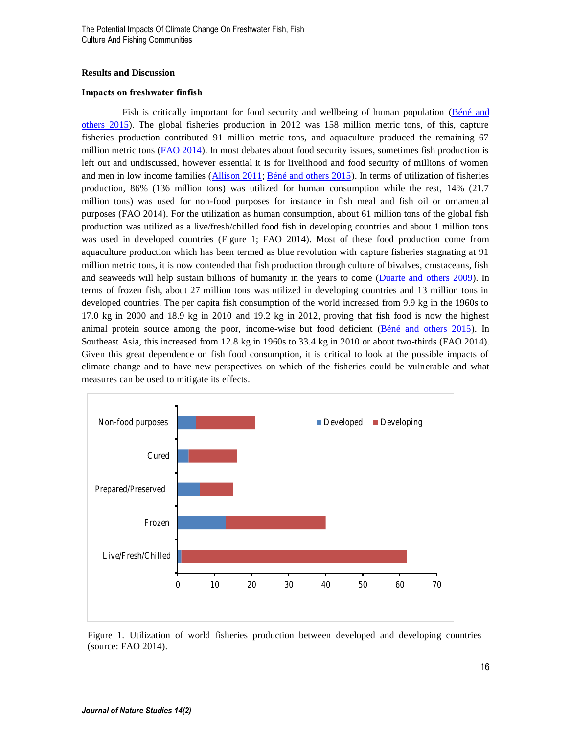#### **Results and Discussion**

### **Impacts on freshwater finfish**

Fish is critically important for food security and wellbeing of human population [\(Béné and](#page--1-4)  [others 2015\)](#page--1-4). The global fisheries production in 2012 was 158 million metric tons, of this, capture fisheries production contributed 91 million metric tons, and aquaculture produced the remaining 67 million metric tons [\(FAO 2014\)](#page--1-0). In most debates about food security issues, sometimes fish production is left out and undiscussed, however essential it is for livelihood and food security of millions of women and men in low income families [\(Allison 2011;](#page--1-14) [Béné and others 2015\)](#page--1-4). In terms of utilization of fisheries production, 86% (136 million tons) was utilized for human consumption while the rest, 14% (21.7 million tons) was used for non-food purposes for instance in fish meal and fish oil or ornamental purposes (FAO 2014). For the utilization as human consumption, about 61 million tons of the global fish production was utilized as a live/fresh/chilled food fish in developing countries and about 1 million tons was used in developed countries (Figure 1; FAO 2014). Most of these food production come from aquaculture production which has been termed as blue revolution with capture fisheries stagnating at 91 million metric tons, it is now contended that fish production through culture of bivalves, crustaceans, fish and seaweeds will help sustain billions of humanity in the years to come [\(Duarte and others 2009\)](#page--1-15). In terms of frozen fish, about 27 million tons was utilized in developing countries and 13 million tons in developed countries. The per capita fish consumption of the world increased from 9.9 kg in the 1960s to 17.0 kg in 2000 and 18.9 kg in 2010 and 19.2 kg in 2012, proving that fish food is now the highest animal protein source among the poor, income-wise but food deficient [\(Béné and others 2015\)](#page--1-4). In Southeast Asia, this increased from 12.8 kg in 1960s to 33.4 kg in 2010 or about two-thirds (FAO 2014). Given this great dependence on fish food consumption, it is critical to look at the possible impacts of climate change and to have new perspectives on which of the fisheries could be vulnerable and what measures can be used to mitigate its effects.



Figure 1. Utilization of world fisheries production between developed and developing countries (source: FAO 2014).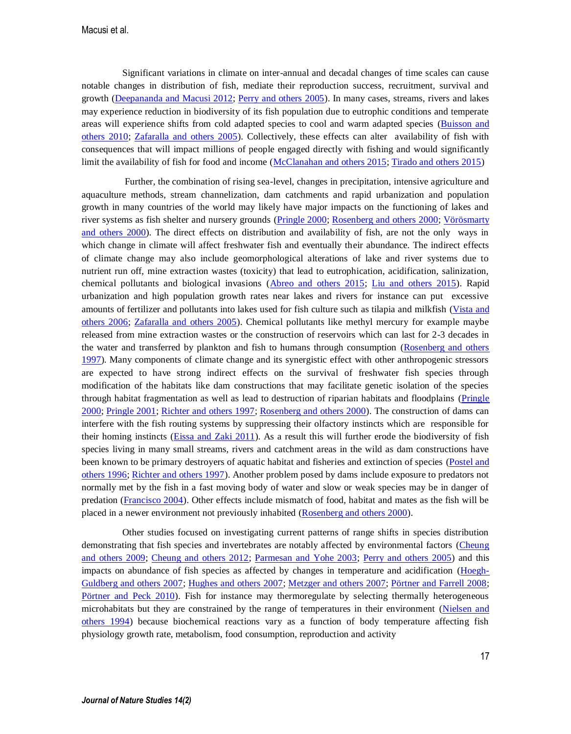Significant variations in climate on inter-annual and decadal changes of time scales can cause notable changes in distribution of fish, mediate their reproduction success, recruitment, survival and growth (Deepananda [and Macusi 2012;](#page--1-13) [Perry and others 2005\)](#page--1-16). In many cases, streams, rivers and lakes may experience reduction in biodiversity of its fish population due to eutrophic conditions and temperate areas will experience shifts from cold adapted species to cool and warm adapted species (Buisson and [others 2010;](#page--1-17) Zafaralla and others 2005). Collectively, these effects can alter availability of fish with consequences that will impact millions of people engaged directly with fishing and would significantly limit the availability of fish for food and income (McClanahan and others 2015[; Tirado and others 2015\)](#page--1-18)

Further, the combination of rising sea-level, changes in precipitation, intensive agriculture and aquaculture methods, stream channelization, dam catchments and rapid urbanization and population growth in many countries of the world may likely have major impacts on the functioning of lakes and river systems as fish shelter and nursery grounds [\(Pringle 2000;](#page--1-19) [Rosenberg and others 2000;](#page--1-20) [Vörösmarty](#page--1-21)  [and others 2000\)](#page--1-21). The direct effects on distribution and availability of fish, are not the only ways in which change in climate will affect freshwater fish and eventually their abundance. The indirect effects of climate change may also include geomorphological alterations of lake and river systems due to nutrient run off, mine extraction wastes (toxicity) that lead to eutrophication, acidification, salinization, chemical pollutants and biological invasions [\(Abreo and others 2015;](#page--1-22) Liu and others 2015). Rapid urbanization and high population growth rates near lakes and rivers for instance can put excessive amounts of fertilizer and pollutants into lakes used for fish culture such as tilapia and milkfish [\(Vista and](#page--1-23)  [others 2006;](#page--1-23) Zafaralla and others 2005). Chemical pollutants like methyl mercury for example maybe released from mine extraction wastes or the construction of reservoirs which can last for 2-3 decades in the water and transferred by plankton and fish to humans through consumption (Rosenberg and others [1997\)](#page--1-7). Many components of climate change and its synergistic effect with other anthropogenic stressors are expected to have strong indirect effects on the survival of freshwater fish species through modification of the habitats like dam constructions that may facilitate genetic isolation of the species through habitat fragmentation as well as lead to destruction of riparian habitats and floodplains [\(Pringle](#page--1-19)  [2000;](#page--1-19) [Pringle 2001;](#page--1-12) [Richter and others 1997;](#page--1-24) [Rosenberg and others 2000\)](#page--1-20). The construction of dams can interfere with the fish routing systems by suppressing their olfactory instincts which are responsible for their homing instincts [\(Eissa and Zaki 2011\)](#page--1-25). As a result this will further erode the biodiversity of fish species living in many small streams, rivers and catchment areas in the wild as dam constructions have been known to be primary destroyers of aquatic habitat and fisheries and extinction of species [\(Postel and](#page--1-26)  [others 1996;](#page--1-26) [Richter and others 1997\)](#page--1-24). Another problem posed by dams include exposure to predators not normally met by the fish in a fast moving body of water and slow or weak species may be in danger of predation [\(Francisco 2004\)](#page--1-21). Other effects include mismatch of food, habitat and mates as the fish will be placed in a newer environment not previously inhabited [\(Rosenberg and others 2000\)](#page--1-20).

Other studies focused on investigating current patterns of range shifts in species distribution demonstrating that fish species and invertebrates are notably affected by environmental factors (Cheung [and others 2009;](#page--1-2) [Cheung and others 2012;](#page--1-18) [Parmesan and Yohe 2003;](#page--1-27) [Perry and others 2005\)](#page--1-16) and this impacts on abundance of fish species as affected by changes in temperature and acidification [\(Hoegh-](#page--1-28)[Guldberg and others 2007;](#page--1-28) Hughes and others 2007[; Metzger and others 2007;](#page--1-7) [Pörtner and Farrell 2008;](#page--1-3) [Pörtner and Peck 2010\)](#page--1-29). Fish for instance may thermoregulate by selecting thermally heterogeneous microhabitats but they are constrained by the range of temperatures in their environment [\(Nielsen and](#page--1-17)  [others 1994\)](#page--1-17) because biochemical reactions vary as a function of body temperature affecting fish physiology growth rate, metabolism, food consumption, reproduction and activity

17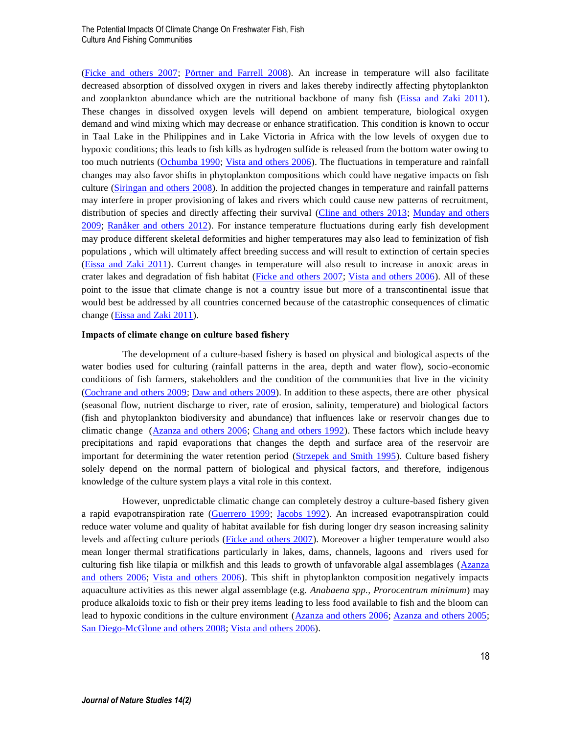[\(Ficke and others 2007;](#page--1-3) [Pörtner and Farrell 2008\)](#page--1-3). An increase in temperature will also facilitate decreased absorption of dissolved oxygen in rivers and lakes thereby indirectly affecting phytoplankton and zooplankton abundance which are the nutritional backbone of many fish [\(Eissa and Zaki 2011\)](#page--1-25). These changes in dissolved oxygen levels will depend on ambient temperature, biological oxygen demand and wind mixing which may decrease or enhance stratification. This condition is known to occur in Taal Lake in the Philippines and in Lake Victoria in Africa with the low levels of oxygen due to hypoxic conditions; this leads to fish kills as hydrogen sulfide is released from the bottom water owing to too much nutrients [\(Ochumba 1990;](#page--1-30) [Vista and others 2006\)](#page--1-23). The fluctuations in temperature and rainfall changes may also favor shifts in phytoplankton compositions which could have negative impacts on fish culture [\(Siringan and others](#page--1-2) 2008). In addition the projected changes in temperature and rainfall patterns may interfere in proper provisioning of lakes and rivers which could cause new patterns of recruitment, distribution of species and directly affecting their survival [\(Cline and others 2013;](#page--1-31) [Munday and others](#page--1-13)  [2009;](#page--1-13) [Ranåker and others 2012\)](#page--1-32). For instance temperature fluctuations during early fish development may produce different skeletal deformities and higher temperatures may also lead to feminization of fish populations , which will ultimately affect breeding success and will result to extinction of certain species [\(Eissa and Zaki 2011\)](#page--1-25). Current changes in temperature will also result to increase in anoxic areas in crater lakes and degradation of fish habitat [\(Ficke and others 2007;](#page--1-3) [Vista and others 2006\)](#page--1-23). All of these point to the issue that climate change is not a country issue but more of a transcontinental issue that would best be addressed by all countries concerned because of the catastrophic consequences of climatic change [\(Eissa and Zaki 2011\)](#page--1-25).

#### **Impacts of climate change on culture based fishery**

The development of a culture-based fishery is based on physical and biological aspects of the water bodies used for culturing (rainfall patterns in the area, depth and water flow), socio-economic conditions of fish farmers, stakeholders and the condition of the communities that live in the vicinity [\(Cochrane and others 2009;](#page--1-29) [Daw and others 2009\)](#page--1-7). In addition to these aspects, there are other physical (seasonal flow, nutrient discharge to river, rate of erosion, salinity, temperature) and biological factors (fish and phytoplankton biodiversity and abundance) that influences lake or reservoir changes due to climatic change [\(Azanza and others 2006;](#page--1-33) [Chang and others 1992\)](#page--1-1). These factors which include heavy precipitations and rapid evaporations that changes the depth and surface area of the reservoir are important for determining the water retention period [\(Strzepek and Smith 1995\)](#page--1-34). Culture based fishery solely depend on the normal pattern of biological and physical factors, and therefore, indigenous knowledge of the culture system plays a vital role in this context.

However, unpredictable climatic change can completely destroy a culture-based fishery given a rapid evapotranspiration rate [\(Guerrero 1999;](#page--1-11) Jacobs 1992). An increased evapotranspiration could reduce water volume and quality of habitat available for fish during longer dry season increasing salinity levels and affecting culture periods [\(Ficke and others 2007\)](#page--1-3). Moreover a higher temperature would also mean longer thermal stratifications particularly in lakes, dams, channels, lagoons and rivers used for culturing fish like tilapia or milkfish and this leads to growth of unfavorable algal assemblages (Azanza [and others 2006;](#page--1-33) [Vista and others 2006\)](#page--1-23). This shift in phytoplankton composition negatively impacts aquaculture activities as this newer algal assemblage (e.g. *Anabaena spp., Prorocentrum minimum*) may produce alkaloids toxic to fish or their prey items leading to less food available to fish and the bloom can lead to hypoxic conditions in the culture environment [\(Azanza and others 2006;](#page--1-33) [Azanza and others 2005;](#page--1-35) [San Diego-McGlone and others 2008;](#page--1-36) [Vista and others 2006\)](#page--1-23).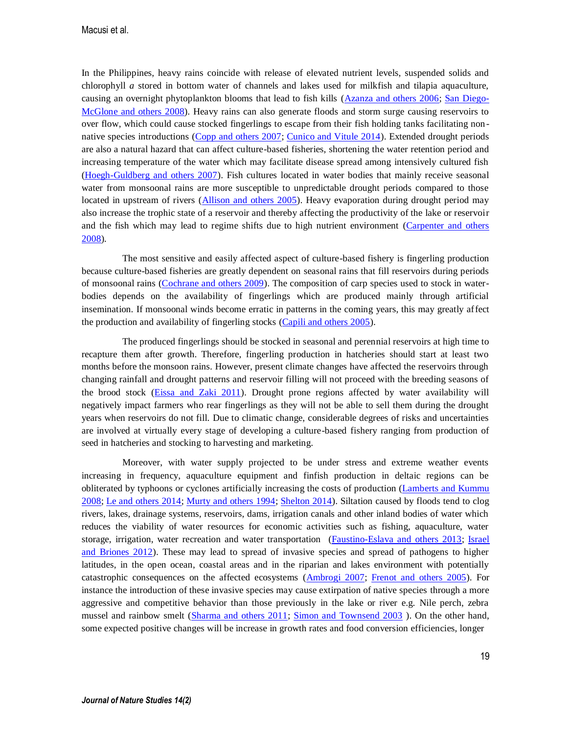In the Philippines, heavy rains coincide with release of elevated nutrient levels, suspended solids and chlorophyll *a* stored in bottom water of channels and lakes used for milkfish and tilapia aquaculture, causing an overnight phytoplankton blooms that lead to fish kills [\(Azanza and others 2006;](#page--1-33) [San Diego-](#page--1-36)[McGlone and others 2008\)](#page--1-36). Heavy rains can also generate floods and storm surge causing reservoirs to over flow, which could cause stocked fingerlings to escape from their fish holding tanks facilitating non - native species introductions [\(Copp and others 2007;](#page--1-19) [Cunico and Vitule 2014\)](#page--1-37). Extended drought periods are also a natural hazard that can affect culture-based fisheries, shortening the water retention period and increasing temperature of the water which may facilitate disease spread among intensively cultured fish [\(Hoegh-Guldberg and others 2007\)](#page--1-28). Fish cultures located in water bodies that mainly receive seasonal water from monsoonal rains are more susceptible to unpredictable drought periods compared to those located in upstream of rivers [\(Allison and others 2005\)](#page--1-38). Heavy evaporation during drought period may also increase the trophic state of a reservoir and thereby affecting the productivity of the lake or reservoir and the fish which may lead to regime shifts due to high nutrient environment (Carpenter and others [2008\)](#page--1-39).

The most sensitive and easily affected aspect of culture-based fishery is fingerling production because culture-based fisheries are greatly dependent on seasonal rains that fill reservoirs during periods of monsoonal rains [\(Cochrane and others 2009\)](#page--1-29). The composition of carp species used to stock in waterbodies depends on the availability of fingerlings which are produced mainly through artificial insemination. If monsoonal winds become erratic in patterns in the coming years, this may greatly affect the production and availability of fingerling stocks [\(Capili and others 2005\)](#page--1-40).

The produced fingerlings should be stocked in seasonal and perennial reservoirs at high time to recapture them after growth. Therefore, fingerling production in hatcheries should start at least two months before the monsoon rains. However, present climate changes have affected the reservoirs through changing rainfall and drought patterns and reservoir filling will not proceed with the breeding seasons of the brood stock [\(Eissa and Zaki 2011\)](#page--1-25). Drought prone regions affected by water availability will negatively impact farmers who rear fingerlings as they will not be able to sell them during the drought years when reservoirs do not fill. Due to climatic change, considerable degrees of risks and uncertainties are involved at virtually every stage of developing a culture-based fishery ranging from production of seed in hatcheries and stocking to harvesting and marketing.

Moreover, with water supply projected to be under stress and extreme weather events increasing in frequency, aquaculture equipment and finfish production in deltaic regions can be obliterated by typhoons or cyclones artificially increasing the costs of production (Lamberts and Kummu 2008; Le and others 2014[; Murty and others 1994;](#page--1-41) [Shelton 2014\)](#page--1-27). Siltation caused by floods tend to clog rivers, lakes, drainage systems, reservoirs, dams, irrigation canals and other inland bodies of water which reduces the viability of water resources for economic activities such as fishing, aquaculture, water storage, irrigation, water recreation and water transportation [\(Faustino-Eslava and others 2013;](#page--1-10) Israel and Briones 2012). These may lead to spread of invasive species and spread of pathogens to higher latitudes, in the open ocean, coastal areas and in the riparian and lakes environment with potentially catastrophic consequences on the affected ecosystems [\(Ambrogi 2007;](#page--1-42) [Frenot and others 2005\)](#page--1-26). For instance the introduction of these invasive species may cause extirpation of native species through a more aggressive and competitive behavior than those previously in the lake or river e.g. Nile perch, zebra mussel and rainbow smelt [\(Sharma and others 2011;](#page--1-6) [Simon and Townsend 2003](#page--1-43) ). On the other hand, some expected positive changes will be increase in growth rates and food conversion efficiencies, longer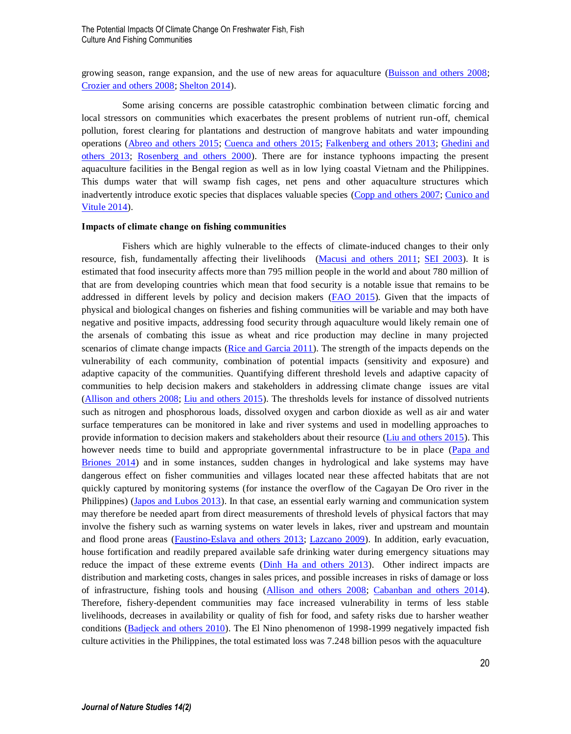growing season, range expansion, and the use of new areas for aquaculture [\(Buisson and others 2008;](#page--1-30) [Crozier and others 2008;](#page--1-44) [Shelton 2014\)](#page--1-27).

Some arising concerns are possible catastrophic combination between climatic forcing and local stressors on communities which exacerbates the present problems of nutrient run-off, chemical pollution, forest clearing for plantations and destruction of mangrove habitats and water impounding operations [\(Abreo and others 2015;](#page--1-22) [Cuenca and others 2015;](#page--1-45) [Falkenberg and others 2013;](#page--1-46) [Ghedini and](#page--1-47)  [others 2013;](#page--1-47) [Rosenberg and others 2000\)](#page--1-20). There are for instance typhoons impacting the present aquaculture facilities in the Bengal region as well as in low lying coastal Vietnam and the Philippines. This dumps water that will swamp fish cages, net pens and other aquaculture structures which inadvertently introduce exotic species that displaces valuable species [\(Copp and others 2007;](#page--1-19) [Cunico and](#page--1-37)  [Vitule 2014\)](#page--1-37).

### **Impacts of climate change on fishing communities**

Fishers which are highly vulnerable to the effects of climate-induced changes to their only resource, fish, fundamentally affecting their livelihoods (Macusi and others 2011; [SEI 2003\)](#page--1-17). It is estimated that food insecurity affects more than 795 million people in the world and about 780 million of that are from developing countries which mean that food security is a notable issue that remains to be addressed in different levels by policy and decision makers [\(FAO 2015\)](#page--1-16). Given that the impacts of physical and biological changes on fisheries and fishing communities will be variable and may both have negative and positive impacts, addressing food security through aquaculture would likely remain one of the arsenals of combating this issue as wheat and rice production may decline in many projected scenarios of climate change impacts [\(Rice and Garcia 2011\)](#page--1-48). The strength of the impacts depends on the vulnerability of each community, combination of potential impacts (sensitivity and exposure) and adaptive capacity of the communities. Quantifying different threshold levels and adaptive capacity of communities to help decision makers and stakeholders in addressing climate change issues are vital [\(Allison and others 2008;](#page--1-49) Liu and others 2015). The thresholds levels for instance of dissolved nutrients such as nitrogen and phosphorous loads, dissolved oxygen and carbon dioxide as well as air and water surface temperatures can be monitored in lake and river systems and used in modelling approaches to provide information to decision makers and stakeholders about their resource (Liu and others 2015). This however needs time to build and appropriate governmental infrastructure to be in place (Papa and [Briones 2014\)](#page--1-25) and in some instances, sudden changes in hydrological and lake systems may have dangerous effect on fisher communities and villages located near these affected habitats that are not quickly captured by monitoring systems (for instance the overflow of the Cagayan De Oro river in the Philippines) (Japos and Lubos 2013). In that case, an essential early warning and communication system may therefore be needed apart from direct measurements of threshold levels of physical factors that may involve the fishery such as warning systems on water levels in lakes, river and upstream and mountain and flood prone areas [\(Faustino-Eslava and others 2013;](#page--1-10) Lazcano 2009). In addition, early evacuation, house fortification and readily prepared available safe drinking water during emergency situations may reduce the impact of these extreme events [\(Dinh Ha and others 2013\)](#page--1-17). Other indirect impacts are distribution and marketing costs, changes in sales prices, and possible increases in risks of damage or loss of infrastructure, fishing tools and housing [\(Allison and others 2008;](#page--1-49) [Cabanban and others 2014\)](#page--1-15). Therefore, fishery-dependent communities may face increased vulnerability in terms of less stable livelihoods, decreases in availability or quality of fish for food, and safety risks due to harsher weather conditions [\(Badjeck and others 2010\)](#page--1-50). The El Nino phenomenon of 1998-1999 negatively impacted fish culture activities in the Philippines, the total estimated loss was 7.248 billion pesos with the aquaculture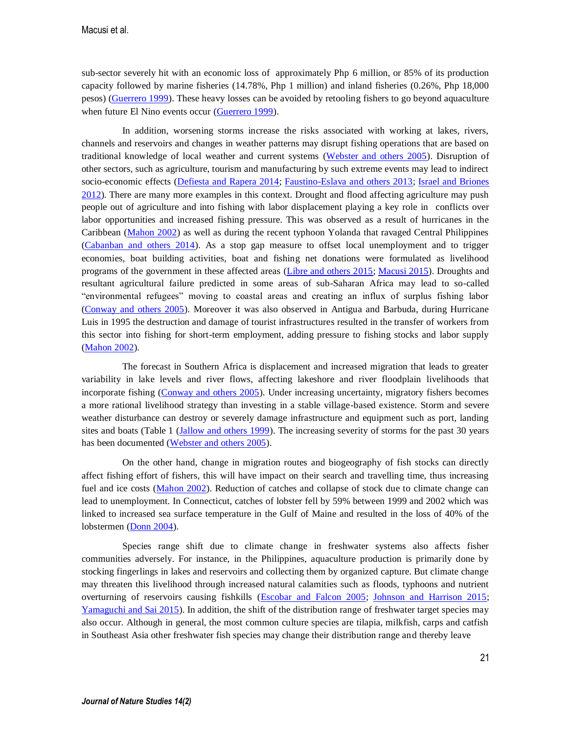sub-sector severely hit with an economic loss of approximately Php 6 million, or 85% of its production capacity followed by marine fisheries (14.78%, Php 1 million) and inland fisheries (0.26%, Php 18,000 pesos) [\(Guerrero 1999\)](#page--1-11). These heavy losses can be avoided by retooling fishers to go beyond aquaculture when future El Nino events occur [\(Guerrero 1999\)](#page--1-11).

In addition, worsening storms increase the risks associated with working at lakes, rivers, channels and reservoirs and changes in weather patterns may disrupt fishing operations that are based on traditional knowledge of local weather and current systems [\(Webster and others 2005\)](#page--1-51). Disruption of other sectors, such as agriculture, tourism and manufacturing by such extreme events may lead to indirect socio-economic effects [\(Defiesta and Rapera 2014;](#page--1-5) [Faustino-Eslava and others 2013;](#page--1-10) Israel and Briones 2012). There are many more examples in this context. Drought and flood affecting agriculture may push people out of agriculture and into fishing with labor displacement playing a key role in conflicts over labor opportunities and increased fishing pressure. This was observed as a result of hurricanes in the Caribbean (Mahon 2002) as well as during the recent typhoon Yolanda that ravaged Central Philippines [\(Cabanban and others 2014\)](#page--1-15). As a stop gap measure to offset local unemployment and to trigger economies, boat building activities, boat and fishing net donations were formulated as livelihood programs of the government in these affected areas [\(Libre and others 2015;](#page--1-31) Macusi 2015). Droughts and resultant agricultural failure predicted in some areas of sub-Saharan Africa may lead to so-called "environmental refugees" moving to coastal areas and creating an influx of surplus fishing labor [\(Conway and others 2005\)](#page--1-26). Moreover it was also observed in Antigua and Barbuda, during Hurricane Luis in 1995 the destruction and damage of tourist infrastructures resulted in the transfer of workers from this sector into fishing for short-term employment, adding pressure to fishing stocks and labor supply (Mahon 2002).

The forecast in Southern Africa is displacement and increased migration that leads to greater variability in lake levels and river flows, affecting lakeshore and river floodplain livelihoods that incorporate fishing [\(Conway and others 2005\)](#page--1-26). Under increasing uncertainty, migratory fishers becomes a more rational livelihood strategy than investing in a stable village-based existence. Storm and severe weather disturbance can destroy or severely damage infrastructure and equipment such as port, landing sites and boats (Table 1 (Jallow and others 1999). The increasing severity of storms for the past 30 years has been documented [\(Webster and others 2005\)](#page--1-51).

On the other hand, change in migration routes and biogeography of fish stocks can directly affect fishing effort of fishers, this will have impact on their search and travelling time, thus increasing fuel and ice costs (Mahon 2002). Reduction of catches and collapse of stock due to climate change can lead to unemployment. In Connecticut, catches of lobster fell by 59% between 1999 and 2002 which was linked to increased sea surface temperature in the Gulf of Maine and resulted in the loss of 40% of the lobstermen [\(Donn 2004\)](#page--1-8).

Species range shift due to climate change in freshwater systems also affects fisher communities adversely. For instance, in the Philippines, aquaculture production is primarily done by stocking fingerlings in lakes and reservoirs and collecting them by organized capture. But climate change may threaten this livelihood through increased natural calamities such as floods, typhoons and nutrient overturning of reservoirs causing fishkills [\(Escobar and Falcon 2005;](#page--1-43) Johnson and Harrison 2015; [Yamaguchi and Sai 2015\)](#page--1-28). In addition, the shift of the distribution range of freshwater target species may also occur. Although in general, the most common culture species are tilapia, milkfish, carps and catfish in Southeast Asia other freshwater fish species may change their distribution range and thereby leave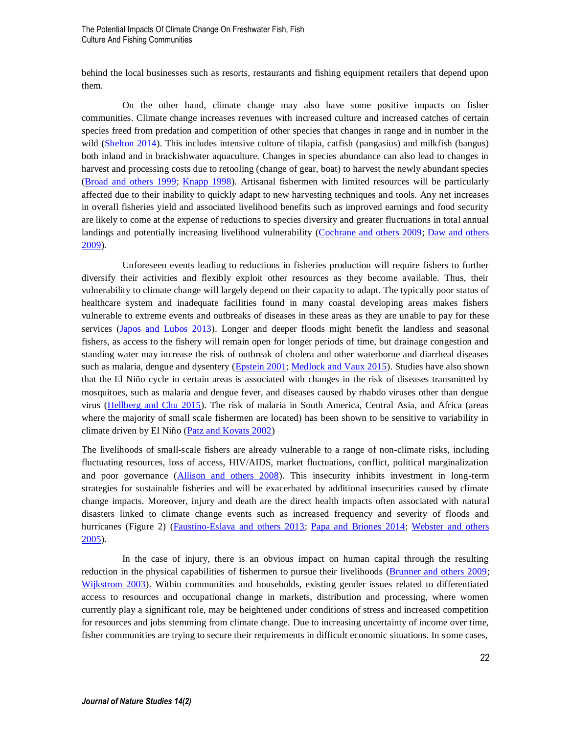behind the local businesses such as resorts, restaurants and fishing equipment retailers that depend upon them.

On the other hand, climate change may also have some positive impacts on fisher communities. Climate change increases revenues with increased culture and increased catches of certain species freed from predation and competition of other species that changes in range and in number in the wild [\(Shelton 2014\)](#page--1-27). This includes intensive culture of tilapia, catfish (pangasius) and milkfish (bangus) both inland and in brackishwater aquaculture. Changes in species abundance can also lead to changes in harvest and processing costs due to retooling (change of gear, boat) to harvest the newly abundant species [\(Broad and others 1999;](#page--1-13) Knapp 1998). Artisanal fishermen with limited resources will be particularly affected due to their inability to quickly adapt to new harvesting techniques and tools. Any net increases in overall fisheries yield and associated livelihood benefits such as improved earnings and food security are likely to come at the expense of reductions to species diversity and greater fluctuations in total annual landings and potentially increasing livelihood vulnerability [\(Cochrane and others 2009;](#page--1-29) Daw and others [2009\)](#page--1-7).

Unforeseen events leading to reductions in fisheries production will require fishers to further diversify their activities and flexibly exploit other resources as they become available. Thus, their vulnerability to climate change will largely depend on their capacity to adapt. The typically poor status of healthcare system and inadequate facilities found in many coastal developing areas makes fishers vulnerable to extreme events and outbreaks of diseases in these areas as they are unable to pay for these services (Japos and Lubos 2013). Longer and deeper floods might benefit the landless and seasonal fishers, as access to the fishery will remain open for longer periods of time, but drainage congestion and standing water may increase the risk of outbreak of cholera and other waterborne and diarrheal diseases such as malaria, dengue and dysentery (*Epstein 2001*; *Medlock and Vaux 2015*). Studies have also shown that the El Niño cycle in certain areas is associated with changes in the risk of diseases transmitted by mosquitoes, such as malaria and dengue fever, and diseases caused by rhabdo viruses other than dengue virus [\(Hellberg and Chu 2015\)](#page--1-45). The risk of malaria in South America, Central Asia, and Africa (areas where the majority of small scale fishermen are located) has been shown to be sensitive to variability in climate driven by El Niño [\(Patz and Kovats 2002\)](#page--1-39)

The livelihoods of small-scale fishers are already vulnerable to a range of non-climate risks, including fluctuating resources, loss of access, HIV/AIDS, market fluctuations, conflict, political marginalization and poor governance [\(Allison and others 2008\)](#page--1-49). This insecurity inhibits investment in long-term strategies for sustainable fisheries and will be exacerbated by additional insecurities caused by climate change impacts. Moreover, injury and death are the direct health impacts often associated with natural disasters linked to climate change events such as increased frequency and severity of floods and hurricanes (Figure 2) [\(Faustino-Eslava and others 2013;](#page--1-10) [Papa and Briones 2014;](#page--1-25) [Webster and others](#page--1-51)  [2005\)](#page--1-51).

In the case of injury, there is an obvious impact on human capital through the resulting reduction in the physical capabilities of fishermen to pursue their livelihoods [\(Brunner and others 2009;](#page--1-41) [Wijkstrom 2003\)](#page--1-47). Within communities and households, existing gender issues related to differentiated access to resources and occupational change in markets, distribution and processing, where women currently play a significant role, may be heightened under conditions of stress and increased competition for resources and jobs stemming from climate change. Due to increasing uncertainty of income over time, fisher communities are trying to secure their requirements in difficult economic situations. In some cases,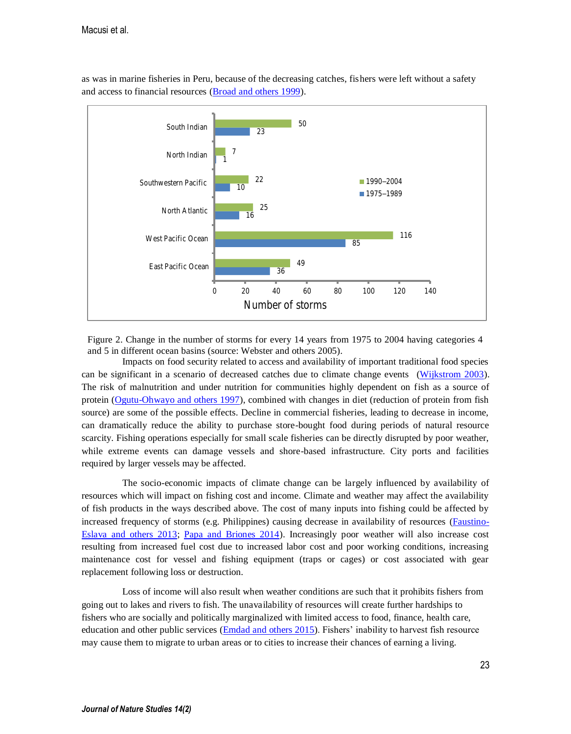

as was in marine fisheries in Peru, because of the decreasing catches, fishers were left without a safety and access to financial resources [\(Broad and others 1999\)](#page--1-13).

Figure 2. Change in the number of storms for every 14 years from 1975 to 2004 having categories 4 and 5 in different ocean basins (source: Webster and others 2005).

Impacts on food security related to access and availability of important traditional food species can be significant in a scenario of decreased catches due to climate change events [\(Wijkstrom 2003\)](#page--1-47). The risk of malnutrition and under nutrition for communities highly dependent on fish as a source of protein [\(Ogutu-Ohwayo and others 1997\)](#page--1-15), combined with changes in diet (reduction of protein from fish source) are some of the possible effects. Decline in commercial fisheries, leading to decrease in income, can dramatically reduce the ability to purchase store-bought food during periods of natural resource scarcity. Fishing operations especially for small scale fisheries can be directly disrupted by poor weather, while extreme events can damage vessels and shore-based infrastructure. City ports and facilities required by larger vessels may be affected.

The socio-economic impacts of climate change can be largely influenced by availability of resources which will impact on fishing cost and income. Climate and weather may affect the availability of fish products in the ways described above. The cost of many inputs into fishing could be affected by increased frequency of storms (e.g. Philippines) causing decrease in availability of resources [\(Faustino-](#page--1-10)[Eslava and others 2013;](#page--1-10) [Papa and Briones 2014\)](#page--1-25). Increasingly poor weather will also increase cost resulting from increased fuel cost due to increased labor cost and poor working conditions, increasing maintenance cost for vessel and fishing equipment (traps or cages) or cost associated with gear replacement following loss or destruction.

Loss of income will also result when weather conditions are such that it prohibits fishers from going out to lakes and rivers to fish. The unavailability of resources will create further hardships to fishers who are socially and politically marginalized with limited access to food, finance, health care, education and other public services [\(Emdad and others 2015\)](#page--1-40). Fishers' inability to harvest fish resource may cause them to migrate to urban areas or to cities to increase their chances of earning a living.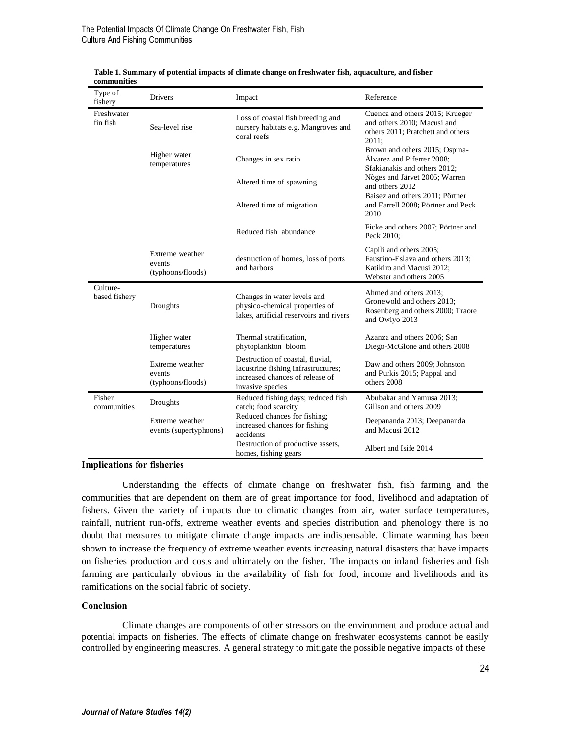| Type of<br>fishery        | <b>Drivers</b>                                 | Impact                                                                                                                         | Reference                                                                                                                                                                                                                         |
|---------------------------|------------------------------------------------|--------------------------------------------------------------------------------------------------------------------------------|-----------------------------------------------------------------------------------------------------------------------------------------------------------------------------------------------------------------------------------|
| Freshwater<br>fin fish    | Sea-level rise                                 | Loss of coastal fish breeding and<br>nursery habitats e.g. Mangroves and<br>coral reefs                                        | Cuenca and others 2015; Krueger<br>and others 2010; Macusi and<br>others 2011; Pratchett and others<br>2011:                                                                                                                      |
|                           | Higher water<br>temperatures                   | Changes in sex ratio                                                                                                           | Brown and others 2015; Ospina-<br>Álvarez and Piferrer 2008:<br>Sfakianakis and others 2012:<br>Nõges and Järvet 2005; Warren<br>and others 2012<br>Baisez and others 2011; Pörtner<br>and Farrell 2008; Pörtner and Peck<br>2010 |
|                           |                                                | Altered time of spawning                                                                                                       |                                                                                                                                                                                                                                   |
|                           |                                                | Altered time of migration                                                                                                      |                                                                                                                                                                                                                                   |
|                           |                                                | Reduced fish abundance                                                                                                         | Ficke and others 2007; Pörtner and<br>Peck 2010:                                                                                                                                                                                  |
|                           | Extreme weather<br>events<br>(typhoons/floods) | destruction of homes, loss of ports<br>and harbors                                                                             | Capili and others 2005;<br>Faustino-Eslava and others 2013;<br>Katikiro and Macusi 2012;<br>Webster and others 2005                                                                                                               |
| Culture-<br>based fishery | Droughts                                       | Changes in water levels and<br>physico-chemical properties of<br>lakes, artificial reservoirs and rivers                       | Ahmed and others 2013;<br>Gronewold and others 2013;<br>Rosenberg and others 2000; Traore<br>and Owiyo 2013                                                                                                                       |
|                           | Higher water<br>temperatures                   | Thermal stratification,<br>phytoplankton bloom                                                                                 | Azanza and others 2006; San<br>Diego-McGlone and others 2008                                                                                                                                                                      |
|                           | Extreme weather<br>events<br>(typhoons/floods) | Destruction of coastal, fluvial,<br>lacustrine fishing infrastructures;<br>increased chances of release of<br>invasive species | Daw and others 2009; Johnston<br>and Purkis 2015; Pappal and<br>others 2008                                                                                                                                                       |
| Fisher<br>communities     | Droughts                                       | Reduced fishing days; reduced fish<br>catch; food scarcity                                                                     | Abubakar and Yamusa 2013:<br>Gillson and others 2009                                                                                                                                                                              |
|                           | Extreme weather<br>events (supertyphoons)      | Reduced chances for fishing;<br>increased chances for fishing<br>accidents                                                     | Deepananda 2013; Deepananda<br>and Macusi 2012                                                                                                                                                                                    |
|                           |                                                | Destruction of productive assets,<br>homes, fishing gears                                                                      | Albert and Isife 2014                                                                                                                                                                                                             |

**Table 1. Summary of potential impacts of climate change on freshwater fish, aquaculture, and fisher communities**

#### **Implications for fisheries**

Understanding the effects of climate change on freshwater fish, fish farming and the communities that are dependent on them are of great importance for food, livelihood and adaptation of fishers. Given the variety of impacts due to climatic changes from air, water surface temperatures, rainfall, nutrient run-offs, extreme weather events and species distribution and phenology there is no doubt that measures to mitigate climate change impacts are indispensable. Climate warming has been shown to increase the frequency of extreme weather events increasing natural disasters that have impacts on fisheries production and costs and ultimately on the fisher. The impacts on inland fisheries and fish farming are particularly obvious in the availability of fish for food, income and livelihoods and its ramifications on the social fabric of society.

### **Conclusion**

Climate changes are components of other stressors on the environment and produce actual and potential impacts on fisheries. The effects of climate change on freshwater ecosystems cannot be easily controlled by engineering measures. A general strategy to mitigate the possible negative impacts of these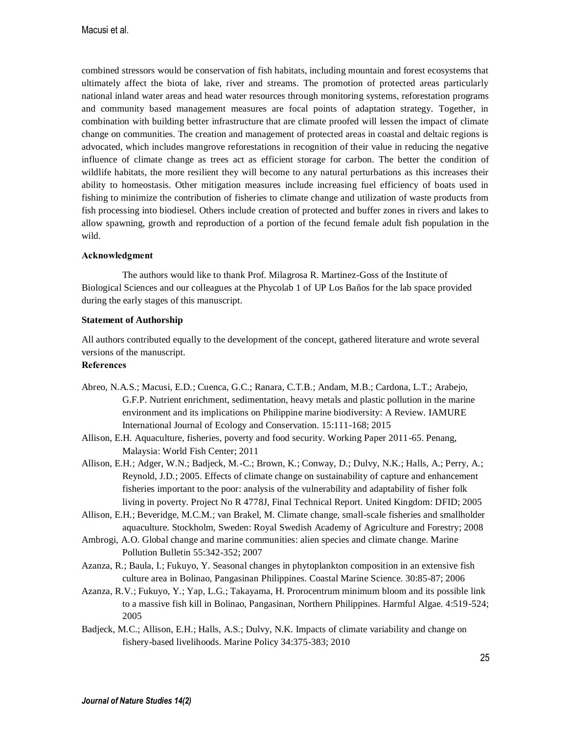combined stressors would be conservation of fish habitats, including mountain and forest ecosystems that ultimately affect the biota of lake, river and streams. The promotion of protected areas particularly national inland water areas and head water resources through monitoring systems, reforestation programs and community based management measures are focal points of adaptation strategy. Together, in combination with building better infrastructure that are climate proofed will lessen the impact of climate change on communities. The creation and management of protected areas in coastal and deltaic regions is advocated, which includes mangrove reforestations in recognition of their value in reducing the negative influence of climate change as trees act as efficient storage for carbon. The better the condition of wildlife habitats, the more resilient they will become to any natural perturbations as this increases their ability to homeostasis. Other mitigation measures include increasing fuel efficiency of boats used in fishing to minimize the contribution of fisheries to climate change and utilization of waste products from fish processing into biodiesel. Others include creation of protected and buffer zones in rivers and lakes to allow spawning, growth and reproduction of a portion of the fecund female adult fish population in the wild.

# **Acknowledgment**

The authors would like to thank Prof. Milagrosa R. Martinez-Goss of the Institute of Biological Sciences and our colleagues at the Phycolab 1 of UP Los Baños for the lab space provided during the early stages of this manuscript.

## **Statement of Authorship**

All authors contributed equally to the development of the concept, gathered literature and wrote several versions of the manuscript.

# **References**

- Abreo, N.A.S.; Macusi, E.D.; Cuenca, G.C.; Ranara, C.T.B.; Andam, M.B.; Cardona, L.T.; Arabejo, G.F.P. Nutrient enrichment, sedimentation, heavy metals and plastic pollution in the marine environment and its implications on Philippine marine biodiversity: A Review. IAMURE International Journal of Ecology and Conservation. 15:111-168; 2015
- Allison, E.H. Aquaculture, fisheries, poverty and food security. Working Paper 2011-65. Penang, Malaysia: World Fish Center; 2011
- Allison, E.H.; Adger, W.N.; Badjeck, M.-C.; Brown, K.; Conway, D.; Dulvy, N.K.; Halls, A.; Perry, A.; Reynold, J.D.; 2005. Effects of climate change on sustainability of capture and enhancement fisheries important to the poor: analysis of the vulnerability and adaptability of fisher folk living in poverty. Project No R 4778J, Final Technical Report. United Kingdom: DFID; 2005
- Allison, E.H.; Beveridge, M.C.M.; van Brakel, M. Climate change, small-scale fisheries and smallholder aquaculture. Stockholm, Sweden: Royal Swedish Academy of Agriculture and Forestry; 2008
- Ambrogi, A.O. Global change and marine communities: alien species and climate change. Marine Pollution Bulletin 55:342-352; 2007
- Azanza, R.; Baula, I.; Fukuyo, Y. Seasonal changes in phytoplankton composition in an extensive fish culture area in Bolinao, Pangasinan Philippines. Coastal Marine Science. 30:85-87; 2006
- Azanza, R.V.; Fukuyo, Y.; Yap, L.G.; Takayama, H. Prorocentrum minimum bloom and its possible link to a massive fish kill in Bolinao, Pangasinan, Northern Philippines. Harmful Algae. 4:519-524; 2005
- Badjeck, M.C.; Allison, E.H.; Halls, A.S.; Dulvy, N.K. Impacts of climate variability and change on fishery-based livelihoods. Marine Policy 34:375-383; 2010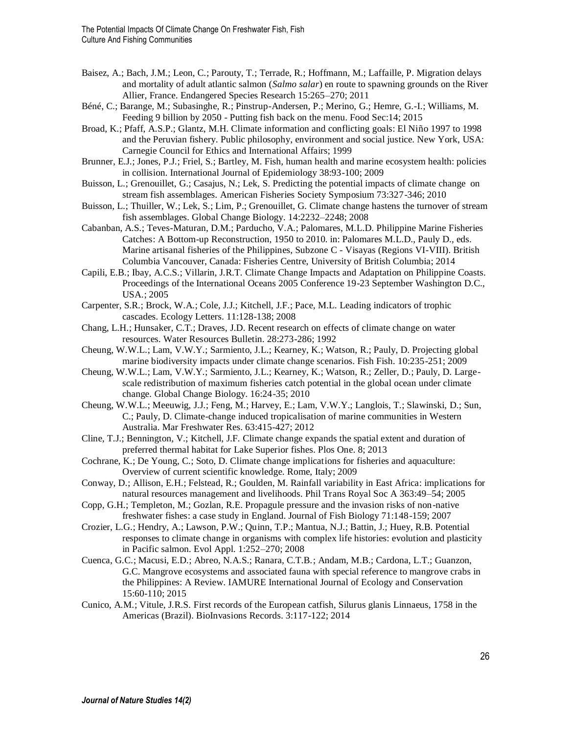- Baisez, A.; Bach, J.M.; Leon, C.; Parouty, T.; Terrade, R.; Hoffmann, M.; Laffaille, P. Migration delays and mortality of adult atlantic salmon (*Salmo salar*) en route to spawning grounds on the River Allier, France. Endangered Species Research 15:265–270; 2011
- Béné, C.; Barange, M.; Subasinghe, R.; Pinstrup-Andersen, P.; Merino, G.; Hemre, G.-I.; Williams, M. Feeding 9 billion by 2050 - Putting fish back on the menu. Food Sec:14; 2015
- Broad, K.; Pfaff, A.S.P.; Glantz, M.H. Climate information and conflicting goals: El Niño 1997 to 1998 and the Peruvian fishery. Public philosophy, environment and social justice. New York, USA: Carnegie Council for Ethics and International Affairs; 1999
- Brunner, E.J.; Jones, P.J.; Friel, S.; Bartley, M. Fish, human health and marine ecosystem health: policies in collision. International Journal of Epidemiology 38:93-100; 2009
- Buisson, L.; Grenouillet, G.; Casajus, N.; Lek, S. Predicting the potential impacts of climate change on stream fish assemblages. American Fisheries Society Symposium 73:327-346; 2010
- Buisson, L.; Thuiller, W.; Lek, S.; Lim, P.; Grenouillet, G. Climate change hastens the turnover of stream fish assemblages. Global Change Biology. 14:2232–2248; 2008
- Cabanban, A.S.; Teves-Maturan, D.M.; Parducho, V.A.; Palomares, M.L.D. Philippine Marine Fisheries Catches: A Bottom-up Reconstruction, 1950 to 2010. in: Palomares M.L.D., Pauly D., eds. Marine artisanal fisheries of the Philippines, Subzone C - Visayas (Regions VI-VIII). British Columbia Vancouver, Canada: Fisheries Centre, University of British Columbia; 2014
- Capili, E.B.; Ibay, A.C.S.; Villarin, J.R.T. Climate Change Impacts and Adaptation on Philippine Coasts. Proceedings of the International Oceans 2005 Conference 19-23 September Washington D.C., USA.; 2005
- Carpenter, S.R.; Brock, W.A.; Cole, J.J.; Kitchell, J.F.; Pace, M.L. Leading indicators of trophic cascades. Ecology Letters. 11:128-138; 2008
- Chang, L.H.; Hunsaker, C.T.; Draves, J.D. Recent research on effects of climate change on water resources. Water Resources Bulletin. 28:273-286; 1992
- Cheung, W.W.L.; Lam, V.W.Y.; Sarmiento, J.L.; Kearney, K.; Watson, R.; Pauly, D. Projecting global marine biodiversity impacts under climate change scenarios. Fish Fish. 10:235-251; 2009
- Cheung, W.W.L.; Lam, V.W.Y.; Sarmiento, J.L.; Kearney, K.; Watson, R.; Zeller, D.; Pauly, D. Largescale redistribution of maximum fisheries catch potential in the global ocean under climate change. Global Change Biology. 16:24-35; 2010
- Cheung, W.W.L.; Meeuwig, J.J.; Feng, M.; Harvey, E.; Lam, V.W.Y.; Langlois, T.; Slawinski, D.; Sun, C.; Pauly, D. Climate-change induced tropicalisation of marine communities in Western Australia. Mar Freshwater Res. 63:415-427; 2012
- Cline, T.J.; Bennington, V.; Kitchell, J.F. Climate change expands the spatial extent and duration of preferred thermal habitat for Lake Superior fishes. Plos One. 8; 2013
- Cochrane, K.; De Young, C.; Soto, D. Climate change implications for fisheries and aquaculture: Overview of current scientific knowledge. Rome, Italy; 2009
- Conway, D.; Allison, E.H.; Felstead, R.; Goulden, M. Rainfall variability in East Africa: implications for natural resources management and livelihoods. Phil Trans Royal Soc A 363:49–54; 2005
- Copp, G.H.; Templeton, M.; Gozlan, R.E. Propagule pressure and the invasion risks of non-native freshwater fishes: a case study in England. Journal of Fish Biology 71:148-159; 2007
- Crozier, L.G.; Hendry, A.; Lawson, P.W.; Quinn, T.P.; Mantua, N.J.; Battin, J.; Huey, R.B. Potential responses to climate change in organisms with complex life histories: evolution and plasticity in Pacific salmon. Evol Appl. 1:252–270; 2008
- Cuenca, G.C.; Macusi, E.D.; Abreo, N.A.S.; Ranara, C.T.B.; Andam, M.B.; Cardona, L.T.; Guanzon, G.C. Mangrove ecosystems and associated fauna with special reference to mangrove crabs in the Philippines: A Review. IAMURE International Journal of Ecology and Conservation 15:60-110; 2015
- Cunico, A.M.; Vitule, J.R.S. First records of the European catfish, Silurus glanis Linnaeus, 1758 in the Americas (Brazil). BioInvasions Records. 3:117-122; 2014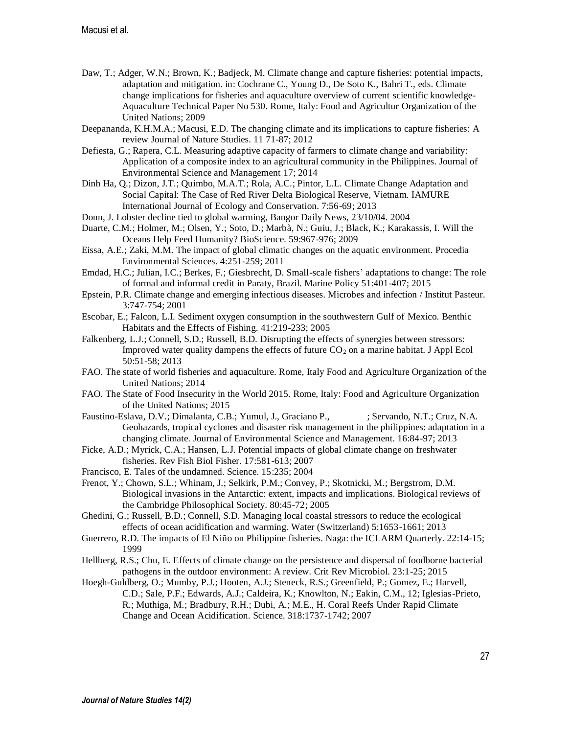- Daw, T.; Adger, W.N.; Brown, K.; Badjeck, M. Climate change and capture fisheries: potential impacts, adaptation and mitigation. in: Cochrane C., Young D., De Soto K., Bahri T., eds. Climate change implications for fisheries and aquaculture overview of current scientific knowledge-Aquaculture Technical Paper No 530. Rome, Italy: Food and Agricultur Organization of the United Nations; 2009
- Deepananda, K.H.M.A.; Macusi, E.D. The changing climate and its implications to capture fisheries: A review Journal of Nature Studies. 11 71-87; 2012
- Defiesta, G.; Rapera, C.L. Measuring adaptive capacity of farmers to climate change and variability: Application of a composite index to an agricultural community in the Philippines. Journal of Environmental Science and Management 17; 2014
- Dinh Ha, Q.; Dizon, J.T.; Quimbo, M.A.T.; Rola, A.C.; Pintor, L.L. Climate Change Adaptation and Social Capital: The Case of Red River Delta Biological Reserve, Vietnam. IAMURE International Journal of Ecology and Conservation. 7:56-69; 2013
- Donn, J. Lobster decline tied to global warming, Bangor Daily News, 23/10/04. 2004
- Duarte, C.M.; Holmer, M.; Olsen, Y.; Soto, D.; Marbà, N.; Guiu, J.; Black, K.; Karakassis, I. Will the Oceans Help Feed Humanity? BioScience. 59:967-976; 2009
- Eissa, A.E.; Zaki, M.M. The impact of global climatic changes on the aquatic environment. Procedia Environmental Sciences. 4:251-259; 2011
- Emdad, H.C.; Julian, I.C.; Berkes, F.; Giesbrecht, D. Small-scale fishers' adaptations to change: The role of formal and informal credit in Paraty, Brazil. Marine Policy 51:401-407; 2015
- Epstein, P.R. Climate change and emerging infectious diseases. Microbes and infection / Institut Pasteur. 3:747-754; 2001
- Escobar, E.; Falcon, L.I. Sediment oxygen consumption in the southwestern Gulf of Mexico. Benthic Habitats and the Effects of Fishing. 41:219-233; 2005
- Falkenberg, L.J.; Connell, S.D.; Russell, B.D. Disrupting the effects of synergies between stressors: Improved water quality dampens the effects of future  $CO<sub>2</sub>$  on a marine habitat. J Appl Ecol 50:51-58; 2013
- FAO. The state of world fisheries and aquaculture. Rome, Italy Food and Agriculture Organization of the United Nations; 2014
- FAO. The State of Food Insecurity in the World 2015. Rome, Italy: Food and Agriculture Organization of the United Nations; 2015
- Faustino-Eslava, D.V.; Dimalanta, C.B.; Yumul, J., Graciano P., ; Servando, N.T.; Cruz, N.A. Geohazards, tropical cyclones and disaster risk management in the philippines: adaptation in a changing climate. Journal of Environmental Science and Management. 16:84-97; 2013
- Ficke, A.D.; Myrick, C.A.; Hansen, L.J. Potential impacts of global climate change on freshwater fisheries. Rev Fish Biol Fisher. 17:581-613; 2007
- Francisco, E. Tales of the undamned. Science. 15:235; 2004
- Frenot, Y.; Chown, S.L.; Whinam, J.; Selkirk, P.M.; Convey, P.; Skotnicki, M.; Bergstrom, D.M. Biological invasions in the Antarctic: extent, impacts and implications. Biological reviews of the Cambridge Philosophical Society. 80:45-72; 2005
- Ghedini, G.; Russell, B.D.; Connell, S.D. Managing local coastal stressors to reduce the ecological effects of ocean acidification and warming. Water (Switzerland) 5:1653-1661; 2013
- Guerrero, R.D. The impacts of El Niño on Philippine fisheries. Naga: the ICLARM Quarterly. 22:14-15; 1999
- Hellberg, R.S.; Chu, E. Effects of climate change on the persistence and dispersal of foodborne bacterial pathogens in the outdoor environment: A review. Crit Rev Microbiol. 23:1-25; 2015
- Hoegh-Guldberg, O.; Mumby, P.J.; Hooten, A.J.; Steneck, R.S.; Greenfield, P.; Gomez, E.; Harvell, C.D.; Sale, P.F.; Edwards, A.J.; Caldeira, K.; Knowlton, N.; Eakin, C.M., 12; Iglesias-Prieto, R.; Muthiga, M.; Bradbury, R.H.; Dubi, A.; M.E., H. Coral Reefs Under Rapid Climate Change and Ocean Acidification. Science. 318:1737-1742; 2007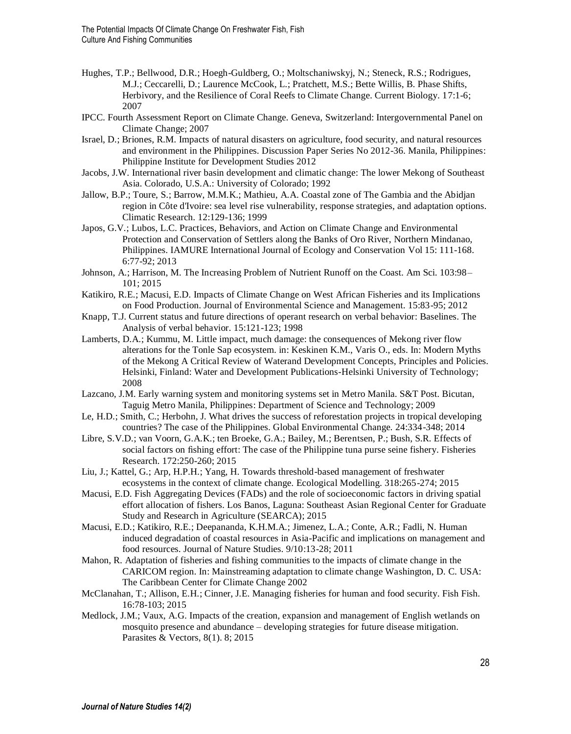- Hughes, T.P.; Bellwood, D.R.; Hoegh-Guldberg, O.; Moltschaniwskyj, N.; Steneck, R.S.; Rodrigues, M.J.; Ceccarelli, D.; Laurence McCook, L.; Pratchett, M.S.; Bette Willis, B. Phase Shifts, Herbivory, and the Resilience of Coral Reefs to Climate Change. Current Biology. 17:1-6; 2007
- IPCC. Fourth Assessment Report on Climate Change. Geneva, Switzerland: Intergovernmental Panel on Climate Change; 2007
- Israel, D.; Briones, R.M. Impacts of natural disasters on agriculture, food security, and natural resources and environment in the Philippines. Discussion Paper Series No 2012-36. Manila, Philippines: Philippine Institute for Development Studies 2012
- Jacobs, J.W. International river basin development and climatic change: The lower Mekong of Southeast Asia. Colorado, U.S.A.: University of Colorado; 1992
- Jallow, B.P.; Toure, S.; Barrow, M.M.K.; Mathieu, A.A. Coastal zone of The Gambia and the Abidjan region in Côte d'Ivoire: sea level rise vulnerability, response strategies, and adaptation options. Climatic Research. 12:129-136; 1999
- Japos, G.V.; Lubos, L.C. Practices, Behaviors, and Action on Climate Change and Environmental Protection and Conservation of Settlers along the Banks of Oro River, Northern Mindanao, Philippines. IAMURE International Journal of Ecology and Conservation Vol 15: 111-168. 6:77-92; 2013
- Johnson, A.; Harrison, M. The Increasing Problem of Nutrient Runoff on the Coast. Am Sci. 103:98– 101; 2015
- Katikiro, R.E.; Macusi, E.D. Impacts of Climate Change on West African Fisheries and its Implications on Food Production. Journal of Environmental Science and Management. 15:83-95; 2012
- Knapp, T.J. Current status and future directions of operant research on verbal behavior: Baselines. The Analysis of verbal behavior. 15:121-123; 1998
- Lamberts, D.A.; Kummu, M. Little impact, much damage: the consequences of Mekong river flow alterations for the Tonle Sap ecosystem. in: Keskinen K.M., Varis O., eds. In: Modern Myths of the Mekong A Critical Review of Waterand Development Concepts, Principles and Policies. Helsinki, Finland: Water and Development Publications-Helsinki University of Technology; 2008
- Lazcano, J.M. Early warning system and monitoring systems set in Metro Manila. S&T Post. Bicutan, Taguig Metro Manila, Philippines: Department of Science and Technology; 2009
- Le, H.D.; Smith, C.; Herbohn, J. What drives the success of reforestation projects in tropical developing countries? The case of the Philippines. Global Environmental Change. 24:334-348; 2014
- Libre, S.V.D.; van Voorn, G.A.K.; ten Broeke, G.A.; Bailey, M.; Berentsen, P.; Bush, S.R. Effects of social factors on fishing effort: The case of the Philippine tuna purse seine fishery. Fisheries Research. 172:250-260; 2015
- Liu, J.; Kattel, G.; Arp, H.P.H.; Yang, H. Towards threshold-based management of freshwater ecosystems in the context of climate change. Ecological Modelling. 318:265-274; 2015
- Macusi, E.D. Fish Aggregating Devices (FADs) and the role of socioeconomic factors in driving spatial effort allocation of fishers. Los Banos, Laguna: Southeast Asian Regional Center for Graduate Study and Research in Agriculture (SEARCA); 2015
- Macusi, E.D.; Katikiro, R.E.; Deepananda, K.H.M.A.; Jimenez, L.A.; Conte, A.R.; Fadli, N. Human induced degradation of coastal resources in Asia-Pacific and implications on management and food resources. Journal of Nature Studies. 9/10:13-28; 2011
- Mahon, R. Adaptation of fisheries and fishing communities to the impacts of climate change in the CARICOM region. In: Mainstreaming adaptation to climate change Washington, D. C. USA: The Caribbean Center for Climate Change 2002
- McClanahan, T.; Allison, E.H.; Cinner, J.E. Managing fisheries for human and food security. Fish Fish. 16:78-103; 2015
- Medlock, J.M.; Vaux, A.G. Impacts of the creation, expansion and management of English wetlands on mosquito presence and abundance – developing strategies for future disease mitigation. Parasites & Vectors, 8(1). 8; 2015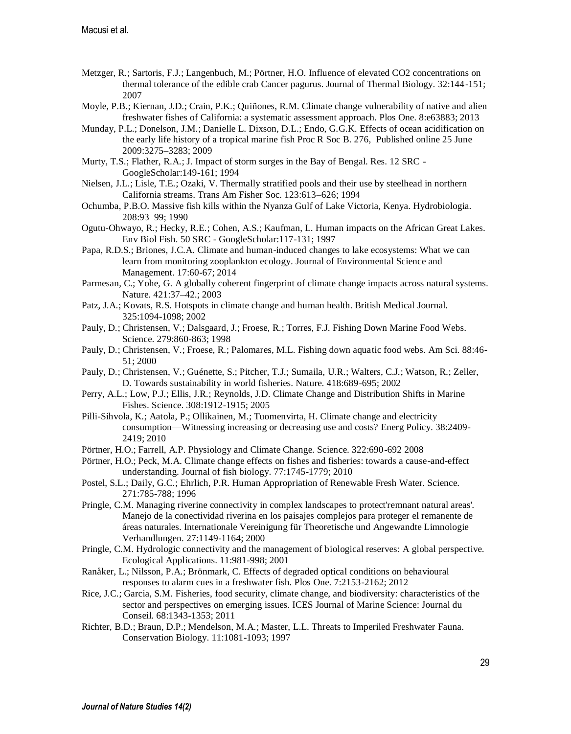- Metzger, R.; Sartoris, F.J.; Langenbuch, M.; Pörtner, H.O. Influence of elevated CO2 concentrations on thermal tolerance of the edible crab Cancer pagurus. Journal of Thermal Biology. 32:144-151; 2007
- Moyle, P.B.; Kiernan, J.D.; Crain, P.K.; Quiñones, R.M. Climate change vulnerability of native and alien freshwater fishes of California: a systematic assessment approach. Plos One. 8:e63883; 2013
- Munday, P.L.; Donelson, J.M.; Danielle L. Dixson, D.L.; Endo, G.G.K. Effects of ocean acidification on the early life history of a tropical marine fish Proc R Soc B. 276, Published online 25 June 2009:3275–3283; 2009
- Murty, T.S.; Flather, R.A.; J. Impact of storm surges in the Bay of Bengal. Res. 12 SRC GoogleScholar:149-161; 1994
- Nielsen, J.L.; Lisle, T.E.; Ozaki, V. Thermally stratified pools and their use by steelhead in northern California streams. Trans Am Fisher Soc. 123:613–626; 1994
- Ochumba, P.B.O. Massive fish kills within the Nyanza Gulf of Lake Victoria, Kenya. Hydrobiologia. 208:93–99; 1990
- Ogutu-Ohwayo, R.; Hecky, R.E.; Cohen, A.S.; Kaufman, L. Human impacts on the African Great Lakes. Env Biol Fish. 50 SRC - GoogleScholar:117-131; 1997
- Papa, R.D.S.; Briones, J.C.A. Climate and human-induced changes to lake ecosystems: What we can learn from monitoring zooplankton ecology. Journal of Environmental Science and Management. 17:60-67; 2014
- Parmesan, C.; Yohe, G. A globally coherent fingerprint of climate change impacts across natural systems. Nature. 421:37–42.; 2003
- Patz, J.A.; Kovats, R.S. Hotspots in climate change and human health. British Medical Journal. 325:1094-1098; 2002
- Pauly, D.; Christensen, V.; Dalsgaard, J.; Froese, R.; Torres, F.J. Fishing Down Marine Food Webs. Science. 279:860-863; 1998
- Pauly, D.; Christensen, V.; Froese, R.; Palomares, M.L. Fishing down aquatic food webs. Am Sci. 88:46- 51; 2000
- Pauly, D.; Christensen, V.; Guénette, S.; Pitcher, T.J.; Sumaila, U.R.; Walters, C.J.; Watson, R.; Zeller, D. Towards sustainability in world fisheries. Nature. 418:689-695; 2002
- Perry, A.L.; Low, P.J.; Ellis, J.R.; Reynolds, J.D. Climate Change and Distribution Shifts in Marine Fishes. Science. 308:1912-1915; 2005
- Pilli-Sihvola, K.; Aatola, P.; Ollikainen, M.; Tuomenvirta, H. Climate change and electricity consumption—Witnessing increasing or decreasing use and costs? Energ Policy. 38:2409- 2419; 2010
- Pörtner, H.O.; Farrell, A.P. Physiology and Climate Change. Science. 322:690-692 2008
- Pörtner, H.O.; Peck, M.A. Climate change effects on fishes and fisheries: towards a cause-and-effect understanding. Journal of fish biology. 77:1745-1779; 2010
- Postel, S.L.; Daily, G.C.; Ehrlich, P.R. Human Appropriation of Renewable Fresh Water. Science. 271:785-788; 1996
- Pringle, C.M. Managing riverine connectivity in complex landscapes to protect'remnant natural areas'. Manejo de la conectividad riverina en los paisajes complejos para proteger el remanente de áreas naturales. Internationale Vereinigung für Theoretische und Angewandte Limnologie Verhandlungen. 27:1149-1164; 2000
- Pringle, C.M. Hydrologic connectivity and the management of biological reserves: A global perspective. Ecological Applications. 11:981-998; 2001
- Ranåker, L.; Nilsson, P.A.; Brönmark, C. Effects of degraded optical conditions on behavioural responses to alarm cues in a freshwater fish. Plos One. 7:2153-2162; 2012
- Rice, J.C.; Garcia, S.M. Fisheries, food security, climate change, and biodiversity: characteristics of the sector and perspectives on emerging issues. ICES Journal of Marine Science: Journal du Conseil. 68:1343-1353; 2011
- Richter, B.D.; Braun, D.P.; Mendelson, M.A.; Master, L.L. Threats to Imperiled Freshwater Fauna. Conservation Biology. 11:1081-1093; 1997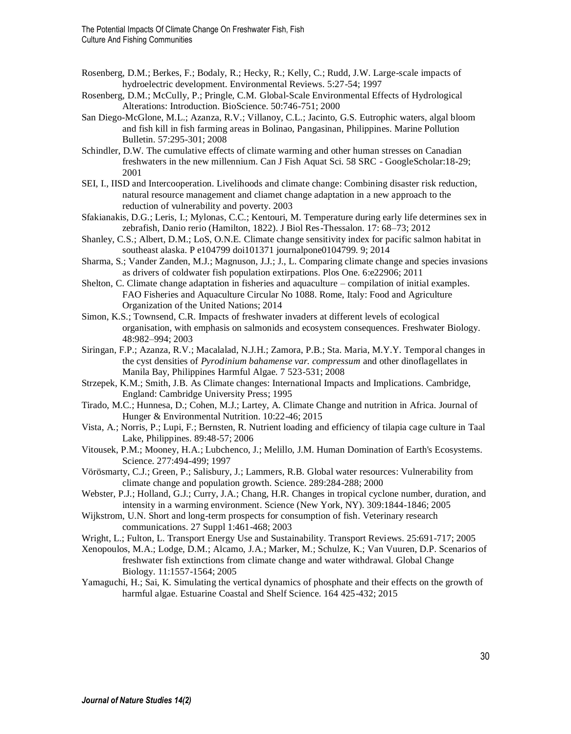- Rosenberg, D.M.; Berkes, F.; Bodaly, R.; Hecky, R.; Kelly, C.; Rudd, J.W. Large-scale impacts of hydroelectric development. Environmental Reviews. 5:27-54; 1997
- Rosenberg, D.M.; McCully, P.; Pringle, C.M. Global-Scale Environmental Effects of Hydrological Alterations: Introduction. BioScience. 50:746-751; 2000
- San Diego-McGlone, M.L.; Azanza, R.V.; Villanoy, C.L.; Jacinto, G.S. Eutrophic waters, algal bloom and fish kill in fish farming areas in Bolinao, Pangasinan, Philippines. Marine Pollution Bulletin. 57:295-301; 2008
- Schindler, D.W. The cumulative effects of climate warming and other human stresses on Canadian freshwaters in the new millennium. Can J Fish Aquat Sci. 58 SRC - GoogleScholar:18-29; 2001
- SEI, I., IISD and Intercooperation. Livelihoods and climate change: Combining disaster risk reduction, natural resource management and cliamet change adaptation in a new approach to the reduction of vulnerability and poverty. 2003
- Sfakianakis, D.G.; Leris, I.; Mylonas, C.C.; Kentouri, M. Temperature during early life determines sex in zebrafish, Danio rerio (Hamilton, 1822). J Biol Res-Thessalon. 17: 68–73; 2012
- Shanley, C.S.; Albert, D.M.; LoS, O.N.E. Climate change sensitivity index for pacific salmon habitat in southeast alaska. P e104799 doi101371 journalpone0104799. 9; 2014
- Sharma, S.; Vander Zanden, M.J.; Magnuson, J.J.; J., L. Comparing climate change and species invasions as drivers of coldwater fish population extirpations. Plos One. 6:e22906; 2011
- Shelton, C. Climate change adaptation in fisheries and aquaculture compilation of initial examples. FAO Fisheries and Aquaculture Circular No 1088. Rome, Italy: Food and Agriculture Organization of the United Nations; 2014
- Simon, K.S.; Townsend, C.R. Impacts of freshwater invaders at different levels of ecological organisation, with emphasis on salmonids and ecosystem consequences. Freshwater Biology. 48:982–994; 2003
- Siringan, F.P.; Azanza, R.V.; Macalalad, N.J.H.; Zamora, P.B.; Sta. Maria, M.Y.Y. Temporal changes in the cyst densities of *Pyrodinium bahamense var. compressum* and other dinoflagellates in Manila Bay, Philippines Harmful Algae. 7 523-531; 2008
- Strzepek, K.M.; Smith, J.B. As Climate changes: International Impacts and Implications. Cambridge, England: Cambridge University Press; 1995
- Tirado, M.C.; Hunnesa, D.; Cohen, M.J.; Lartey, A. Climate Change and nutrition in Africa. Journal of Hunger & Environmental Nutrition. 10:22-46; 2015
- Vista, A.; Norris, P.; Lupi, F.; Bernsten, R. Nutrient loading and efficiency of tilapia cage culture in Taal Lake, Philippines. 89:48-57; 2006
- Vitousek, P.M.; Mooney, H.A.; Lubchenco, J.; Melillo, J.M. Human Domination of Earth's Ecosystems. Science. 277:494-499; 1997
- Vörösmarty, C.J.; Green, P.; Salisbury, J.; Lammers, R.B. Global water resources: Vulnerability from climate change and population growth. Science. 289:284-288; 2000
- Webster, P.J.; Holland, G.J.; Curry, J.A.; Chang, H.R. Changes in tropical cyclone number, duration, and intensity in a warming environment. Science (New York, NY). 309:1844-1846; 2005
- Wijkstrom, U.N. Short and long-term prospects for consumption of fish. Veterinary research communications. 27 Suppl 1:461-468; 2003
- Wright, L.; Fulton, L. Transport Energy Use and Sustainability. Transport Reviews. 25:691-717; 2005
- Xenopoulos, M.A.; Lodge, D.M.; Alcamo, J.A.; Marker, M.; Schulze, K.; Van Vuuren, D.P. Scenarios of freshwater fish extinctions from climate change and water withdrawal. Global Change Biology. 11:1557-1564; 2005
- Yamaguchi, H.; Sai, K. Simulating the vertical dynamics of phosphate and their effects on the growth of harmful algae. Estuarine Coastal and Shelf Science. 164 425-432; 2015